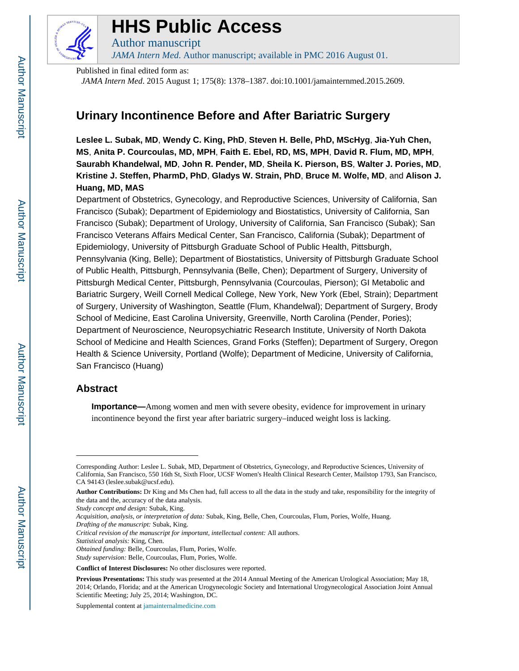

# **HHS Public Access**

*JAMA Intern Med*. Author manuscript; available in PMC 2016 August 01.

Published in final edited form as:

Author manuscript

*JAMA Intern Med*. 2015 August 1; 175(8): 1378–1387. doi:10.1001/jamainternmed.2015.2609.

## **Urinary Incontinence Before and After Bariatric Surgery**

**Leslee L. Subak, MD**, **Wendy C. King, PhD**, **Steven H. Belle, PhD, MScHyg**, **Jia-Yuh Chen, MS**, **Anita P. Courcoulas, MD, MPH**, **Faith E. Ebel, RD, MS, MPH**, **David R. Flum, MD, MPH**, **Saurabh Khandelwal, MD**, **John R. Pender, MD**, **Sheila K. Pierson, BS**, **Walter J. Pories, MD**, **Kristine J. Steffen, PharmD, PhD**, **Gladys W. Strain, PhD**, **Bruce M. Wolfe, MD**, and **Alison J. Huang, MD, MAS**

Department of Obstetrics, Gynecology, and Reproductive Sciences, University of California, San Francisco (Subak); Department of Epidemiology and Biostatistics, University of California, San Francisco (Subak); Department of Urology, University of California, San Francisco (Subak); San Francisco Veterans Affairs Medical Center, San Francisco, California (Subak); Department of Epidemiology, University of Pittsburgh Graduate School of Public Health, Pittsburgh, Pennsylvania (King, Belle); Department of Biostatistics, University of Pittsburgh Graduate School of Public Health, Pittsburgh, Pennsylvania (Belle, Chen); Department of Surgery, University of Pittsburgh Medical Center, Pittsburgh, Pennsylvania (Courcoulas, Pierson); GI Metabolic and Bariatric Surgery, Weill Cornell Medical College, New York, New York (Ebel, Strain); Department of Surgery, University of Washington, Seattle (Flum, Khandelwal); Department of Surgery, Brody School of Medicine, East Carolina University, Greenville, North Carolina (Pender, Pories); Department of Neuroscience, Neuropsychiatric Research Institute, University of North Dakota School of Medicine and Health Sciences, Grand Forks (Steffen); Department of Surgery, Oregon Health & Science University, Portland (Wolfe); Department of Medicine, University of California, San Francisco (Huang)

## **Abstract**

**Importance—**Among women and men with severe obesity, evidence for improvement in urinary incontinence beyond the first year after bariatric surgery–induced weight loss is lacking.

*Study concept and design:* Subak, King.

*Critical revision of the manuscript for important, intellectual content:* All authors.

- *Statistical analysis:* King, Chen.
- *Obtained funding:* Belle, Courcoulas, Flum, Pories, Wolfe.

Supplemental content at [jamainternalmedicine.com](http://jamainternalmedicine.com)

Corresponding Author: Leslee L. Subak, MD, Department of Obstetrics, Gynecology, and Reproductive Sciences, University of California, San Francisco, 550 16th St, Sixth Floor, UCSF Women's Health Clinical Research Center, Mailstop 1793, San Francisco, CA 94143 (leslee.subak@ucsf.edu).

**Author Contributions:** Dr King and Ms Chen had, full access to all the data in the study and take, responsibility for the integrity of the data and the, accuracy of the data analysis.

*Acquisition, analysis, or interpretation of data:* Subak, King, Belle, Chen, Courcoulas, Flum, Pories, Wolfe, Huang. *Drafting of the manuscript:* Subak, King.

*Study supervision:* Belle, Courcoulas, Flum, Pories, Wolfe.

**Conflict of Interest Disclosures:** No other disclosures were reported.

**Previous Presentations:** This study was presented at the 2014 Annual Meeting of the American Urological Association; May 18, 2014; Orlando, Florida; and at the American Urogynecologic Society and International Urogynecological Association Joint Annual Scientific Meeting; July 25, 2014; Washington, DC.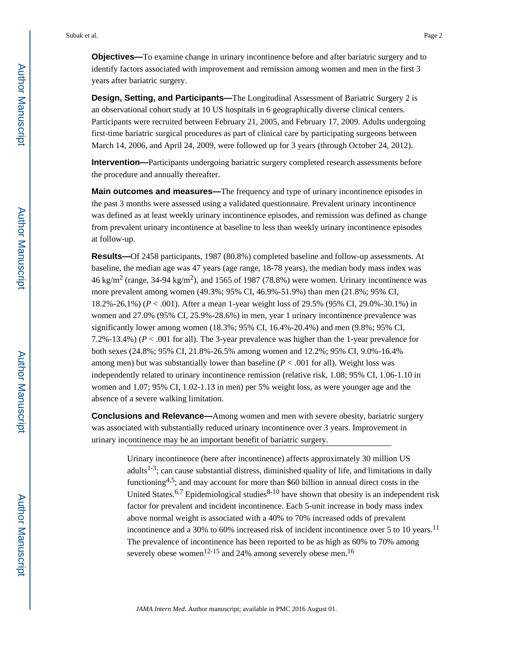**Objectives—**To examine change in urinary incontinence before and after bariatric surgery and to identify factors associated with improvement and remission among women and men in the first 3 years after bariatric surgery.

**Design, Setting, and Participants—**The Longitudinal Assessment of Bariatric Surgery 2 is an observational cohort study at 10 US hospitals in 6 geographically diverse clinical centers. Participants were recruited between February 21, 2005, and February 17, 2009. Adults undergoing first-time bariatric surgical procedures as part of clinical care by participating surgeons between March 14, 2006, and April 24, 2009, were followed up for 3 years (through October 24, 2012).

**Intervention—**Participants undergoing bariatric surgery completed research assessments before the procedure and annually thereafter.

**Main outcomes and measures—**The frequency and type of urinary incontinence episodes in the past 3 months were assessed using a validated questionnaire. Prevalent urinary incontinence was defined as at least weekly urinary incontinence episodes, and remission was defined as change from prevalent urinary incontinence at baseline to less than weekly urinary incontinence episodes at follow-up.

**Results—**Of 2458 participants, 1987 (80.8%) completed baseline and follow-up assessments. At baseline, the median age was 47 years (age range, 18-78 years), the median body mass index was 46 kg/m<sup>2</sup> (range, 34-94 kg/m<sup>2</sup>), and 1565 of 1987 (78.8%) were women. Urinary incontinence was more prevalent among women (49.3%; 95% CI, 46.9%-51.9%) than men (21.8%; 95% CI, 18.2%-26.1%) (*P* < .001). After a mean 1-year weight loss of 29.5% (95% CI, 29.0%-30.1%) in women and 27.0% (95% CI, 25.9%-28.6%) in men, year 1 urinary incontinence prevalence was significantly lower among women (18.3%; 95% CI, 16.4%-20.4%) and men (9.8%; 95% CI, 7.2%-13.4%) (*P* < .001 for all). The 3-year prevalence was higher than the 1-year prevalence for both sexes (24.8%; 95% CI, 21.8%-26.5% among women and 12.2%; 95% CI, 9.0%-16.4% among men) but was substantially lower than baseline  $(P < .001$  for all). Weight loss was independently related to urinary incontinence remission (relative risk, 1.08; 95% CI, 1.06-1.10 in women and 1.07; 95% CI, 1.02-1.13 in men) per 5% weight loss, as were younger age and the absence of a severe walking limitation.

**Conclusions and Relevance—**Among women and men with severe obesity, bariatric surgery was associated with substantially reduced urinary incontinence over 3 years. Improvement in urinary incontinence may be an important benefit of bariatric surgery.

> Urinary incontinence (here after incontinence) affects approximately 30 million US adults<sup>1-3</sup>; can cause substantial distress, diminished quality of life, and limitations in daily functioning<sup>4,5</sup>; and may account for more than \$60 billion in annual direct costs in the United States.<sup>6,7</sup> Epidemiological studies<sup>8-10</sup> have shown that obesity is an independent risk factor for prevalent and incident incontinence. Each 5-unit increase in body mass index above normal weight is associated with a 40% to 70% increased odds of prevalent incontinence and a 30% to 60% increased risk of incident incontinence over 5 to 10 years.<sup>11</sup> The prevalence of incontinence has been reported to be as high as 60% to 70% among severely obese women<sup>12-15</sup> and 24% among severely obese men.<sup>16</sup>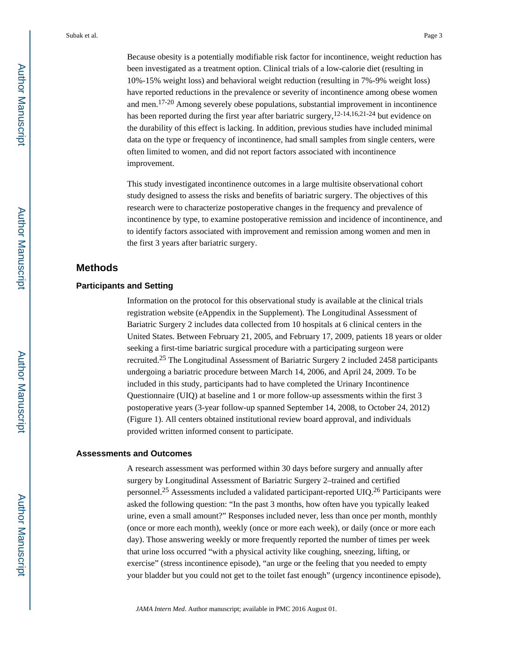Because obesity is a potentially modifiable risk factor for incontinence, weight reduction has been investigated as a treatment option. Clinical trials of a low-calorie diet (resulting in 10%-15% weight loss) and behavioral weight reduction (resulting in 7%-9% weight loss) have reported reductions in the prevalence or severity of incontinence among obese women and men.<sup>17-20</sup> Among severely obese populations, substantial improvement in incontinence has been reported during the first year after bariatric surgery, <sup>12-14,16,21-24</sup> but evidence on the durability of this effect is lacking. In addition, previous studies have included minimal data on the type or frequency of incontinence, had small samples from single centers, were often limited to women, and did not report factors associated with incontinence improvement.

This study investigated incontinence outcomes in a large multisite observational cohort study designed to assess the risks and benefits of bariatric surgery. The objectives of this research were to characterize postoperative changes in the frequency and prevalence of incontinence by type, to examine postoperative remission and incidence of incontinence, and to identify factors associated with improvement and remission among women and men in the first 3 years after bariatric surgery.

## **Methods**

#### **Participants and Setting**

Information on the protocol for this observational study is available at the clinical trials registration website (eAppendix in the Supplement). The Longitudinal Assessment of Bariatric Surgery 2 includes data collected from 10 hospitals at 6 clinical centers in the United States. Between February 21, 2005, and February 17, 2009, patients 18 years or older seeking a first-time bariatric surgical procedure with a participating surgeon were recruited.25 The Longitudinal Assessment of Bariatric Surgery 2 included 2458 participants undergoing a bariatric procedure between March 14, 2006, and April 24, 2009. To be included in this study, participants had to have completed the Urinary Incontinence Questionnaire (UIQ) at baseline and 1 or more follow-up assessments within the first 3 postoperative years (3-year follow-up spanned September 14, 2008, to October 24, 2012) (Figure 1). All centers obtained institutional review board approval, and individuals provided written informed consent to participate.

#### **Assessments and Outcomes**

A research assessment was performed within 30 days before surgery and annually after surgery by Longitudinal Assessment of Bariatric Surgery 2–trained and certified personnel.25 Assessments included a validated participant-reported UIQ.26 Participants were asked the following question: "In the past 3 months, how often have you typically leaked urine, even a small amount?" Responses included never, less than once per month, monthly (once or more each month), weekly (once or more each week), or daily (once or more each day). Those answering weekly or more frequently reported the number of times per week that urine loss occurred "with a physical activity like coughing, sneezing, lifting, or exercise" (stress incontinence episode), "an urge or the feeling that you needed to empty your bladder but you could not get to the toilet fast enough" (urgency incontinence episode),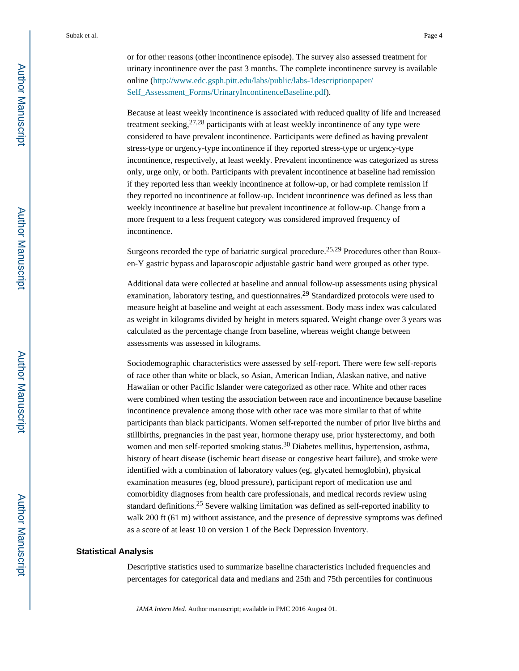or for other reasons (other incontinence episode). The survey also assessed treatment for urinary incontinence over the past 3 months. The complete incontinence survey is available online ([http://www.edc.gsph.pitt.edu/labs/public/labs-1descriptionpaper/](http://www.edc.gsph.pitt.edu/labs/public/labs-1descriptionpaper/Self_Assessment_Forms/UrinaryIncontinenceBaseline.pdf) [Self\\_Assessment\\_Forms/UrinaryIncontinenceBaseline.pdf\)](http://www.edc.gsph.pitt.edu/labs/public/labs-1descriptionpaper/Self_Assessment_Forms/UrinaryIncontinenceBaseline.pdf).

Because at least weekly incontinence is associated with reduced quality of life and increased treatment seeking, $27,28$  participants with at least weekly incontinence of any type were considered to have prevalent incontinence. Participants were defined as having prevalent stress-type or urgency-type incontinence if they reported stress-type or urgency-type incontinence, respectively, at least weekly. Prevalent incontinence was categorized as stress only, urge only, or both. Participants with prevalent incontinence at baseline had remission if they reported less than weekly incontinence at follow-up, or had complete remission if they reported no incontinence at follow-up. Incident incontinence was defined as less than weekly incontinence at baseline but prevalent incontinence at follow-up. Change from a more frequent to a less frequent category was considered improved frequency of incontinence.

Surgeons recorded the type of bariatric surgical procedure.<sup>25,29</sup> Procedures other than Rouxen-Y gastric bypass and laparoscopic adjustable gastric band were grouped as other type.

Additional data were collected at baseline and annual follow-up assessments using physical examination, laboratory testing, and questionnaires.<sup>29</sup> Standardized protocols were used to measure height at baseline and weight at each assessment. Body mass index was calculated as weight in kilograms divided by height in meters squared. Weight change over 3 years was calculated as the percentage change from baseline, whereas weight change between assessments was assessed in kilograms.

Sociodemographic characteristics were assessed by self-report. There were few self-reports of race other than white or black, so Asian, American Indian, Alaskan native, and native Hawaiian or other Pacific Islander were categorized as other race. White and other races were combined when testing the association between race and incontinence because baseline incontinence prevalence among those with other race was more similar to that of white participants than black participants. Women self-reported the number of prior live births and stillbirths, pregnancies in the past year, hormone therapy use, prior hysterectomy, and both women and men self-reported smoking status.<sup>30</sup> Diabetes mellitus, hypertension, asthma, history of heart disease (ischemic heart disease or congestive heart failure), and stroke were identified with a combination of laboratory values (eg, glycated hemoglobin), physical examination measures (eg, blood pressure), participant report of medication use and comorbidity diagnoses from health care professionals, and medical records review using standard definitions.<sup>25</sup> Severe walking limitation was defined as self-reported inability to walk 200 ft (61 m) without assistance, and the presence of depressive symptoms was defined as a score of at least 10 on version 1 of the Beck Depression Inventory.

#### **Statistical Analysis**

Descriptive statistics used to summarize baseline characteristics included frequencies and percentages for categorical data and medians and 25th and 75th percentiles for continuous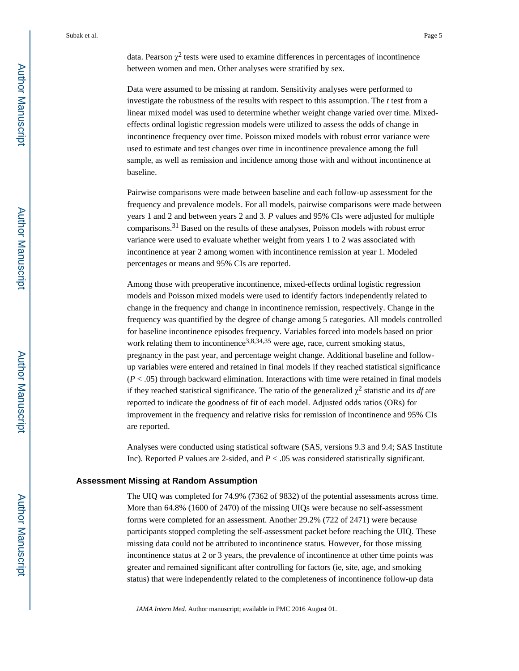data. Pearson  $\chi^2$  tests were used to examine differences in percentages of incontinence between women and men. Other analyses were stratified by sex.

Data were assumed to be missing at random. Sensitivity analyses were performed to investigate the robustness of the results with respect to this assumption. The *t* test from a linear mixed model was used to determine whether weight change varied over time. Mixedeffects ordinal logistic regression models were utilized to assess the odds of change in incontinence frequency over time. Poisson mixed models with robust error variance were used to estimate and test changes over time in incontinence prevalence among the full sample, as well as remission and incidence among those with and without incontinence at baseline.

Pairwise comparisons were made between baseline and each follow-up assessment for the frequency and prevalence models. For all models, pairwise comparisons were made between years 1 and 2 and between years 2 and 3. *P* values and 95% CIs were adjusted for multiple comparisons.31 Based on the results of these analyses, Poisson models with robust error variance were used to evaluate whether weight from years 1 to 2 was associated with incontinence at year 2 among women with incontinence remission at year 1. Modeled percentages or means and 95% CIs are reported.

Among those with preoperative incontinence, mixed-effects ordinal logistic regression models and Poisson mixed models were used to identify factors independently related to change in the frequency and change in incontinence remission, respectively. Change in the frequency was quantified by the degree of change among 5 categories. All models controlled for baseline incontinence episodes frequency. Variables forced into models based on prior work relating them to incontinence<sup>3,8,34,35</sup> were age, race, current smoking status, pregnancy in the past year, and percentage weight change. Additional baseline and followup variables were entered and retained in final models if they reached statistical significance  $(P < .05)$  through backward elimination. Interactions with time were retained in final models if they reached statistical significance. The ratio of the generalized  $\chi^2$  statistic and its *df* are reported to indicate the goodness of fit of each model. Adjusted odds ratios (ORs) for improvement in the frequency and relative risks for remission of incontinence and 95% CIs are reported.

Analyses were conducted using statistical software (SAS, versions 9.3 and 9.4; SAS Institute Inc). Reported *P* values are 2-sided, and  $P < .05$  was considered statistically significant.

#### **Assessment Missing at Random Assumption**

The UIQ was completed for 74.9% (7362 of 9832) of the potential assessments across time. More than 64.8% (1600 of 2470) of the missing UIQs were because no self-assessment forms were completed for an assessment. Another 29.2% (722 of 2471) were because participants stopped completing the self-assessment packet before reaching the UIQ. These missing data could not be attributed to incontinence status. However, for those missing incontinence status at 2 or 3 years, the prevalence of incontinence at other time points was greater and remained significant after controlling for factors (ie, site, age, and smoking status) that were independently related to the completeness of incontinence follow-up data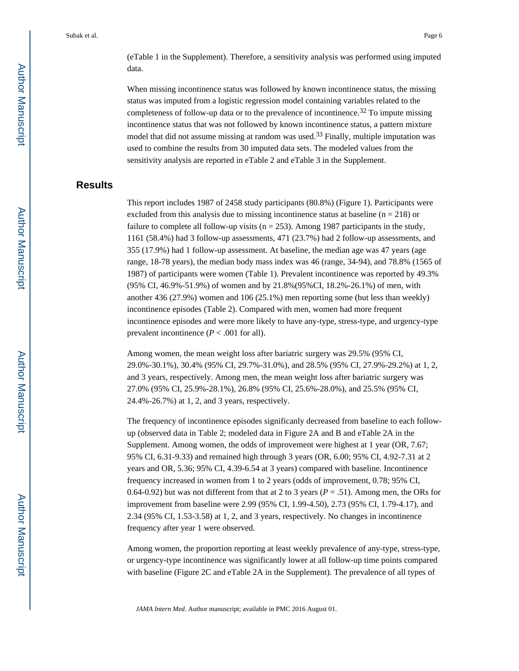(eTable 1 in the Supplement). Therefore, a sensitivity analysis was performed using imputed data.

When missing incontinence status was followed by known incontinence status, the missing status was imputed from a logistic regression model containing variables related to the completeness of follow-up data or to the prevalence of incontinence.<sup>32</sup> To impute missing incontinence status that was not followed by known incontinence status, a pattern mixture model that did not assume missing at random was used.<sup>33</sup> Finally, multiple imputation was used to combine the results from 30 imputed data sets. The modeled values from the sensitivity analysis are reported in eTable 2 and eTable 3 in the Supplement.

## **Results**

This report includes 1987 of 2458 study participants (80.8%) (Figure 1). Participants were excluded from this analysis due to missing incontinence status at baseline  $(n = 218)$  or failure to complete all follow-up visits ( $n = 253$ ). Among 1987 participants in the study, 1161 (58.4%) had 3 follow-up assessments, 471 (23.7%) had 2 follow-up assessments, and 355 (17.9%) had 1 follow-up assessment. At baseline, the median age was 47 years (age range, 18-78 years), the median body mass index was 46 (range, 34-94), and 78.8% (1565 of 1987) of participants were women (Table 1). Prevalent incontinence was reported by 49.3% (95% CI, 46.9%-51.9%) of women and by 21.8%(95%CI, 18.2%-26.1%) of men, with another 436 (27.9%) women and 106 (25.1%) men reporting some (but less than weekly) incontinence episodes (Table 2). Compared with men, women had more frequent incontinence episodes and were more likely to have any-type, stress-type, and urgency-type prevalent incontinence  $(P < .001$  for all).

Among women, the mean weight loss after bariatric surgery was 29.5% (95% CI, 29.0%-30.1%), 30.4% (95% CI, 29.7%-31.0%), and 28.5% (95% CI, 27.9%-29.2%) at 1, 2, and 3 years, respectively. Among men, the mean weight loss after bariatric surgery was 27.0% (95% CI, 25.9%-28.1%), 26.8% (95% CI, 25.6%-28.0%), and 25.5% (95% CI, 24.4%-26.7%) at 1, 2, and 3 years, respectively.

The frequency of incontinence episodes significanly decreased from baseline to each followup (observed data in Table 2; modeled data in Figure 2A and B and eTable 2A in the Supplement. Among women, the odds of improvement were highest at 1 year (OR, 7.67; 95% CI, 6.31-9.33) and remained high through 3 years (OR, 6.00; 95% CI, 4.92-7.31 at 2 years and OR, 5.36; 95% CI, 4.39-6.54 at 3 years) compared with baseline. Incontinence frequency increased in women from 1 to 2 years (odds of improvement, 0.78; 95% CI, 0.64-0.92) but was not different from that at 2 to 3 years (*P* = .51). Among men, the ORs for improvement from baseline were 2.99 (95% CI, 1.99-4.50), 2.73 (95% CI, 1.79-4.17), and 2.34 (95% CI, 1.53-3.58) at 1, 2, and 3 years, respectively. No changes in incontinence frequency after year 1 were observed.

Among women, the proportion reporting at least weekly prevalence of any-type, stress-type, or urgency-type incontinence was significantly lower at all follow-up time points compared with baseline (Figure 2C and eTable 2A in the Supplement). The prevalence of all types of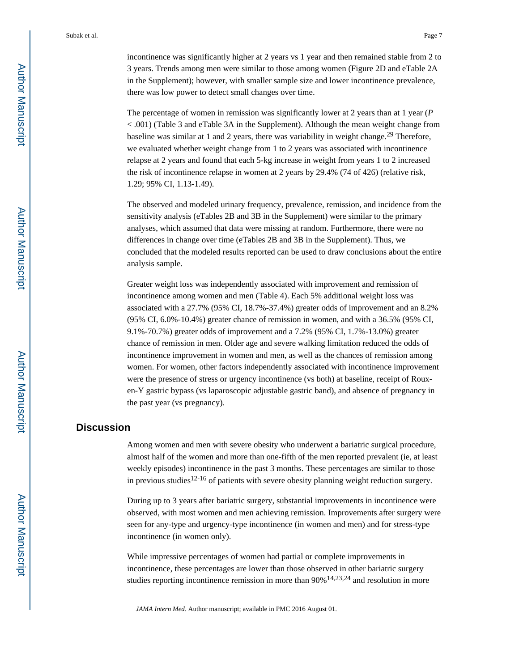incontinence was significantly higher at 2 years vs 1 year and then remained stable from 2 to 3 years. Trends among men were similar to those among women (Figure 2D and eTable 2A in the Supplement); however, with smaller sample size and lower incontinence prevalence, there was low power to detect small changes over time.

The percentage of women in remission was significantly lower at 2 years than at 1 year (*P*  < .001) (Table 3 and eTable 3A in the Supplement). Although the mean weight change from baseline was similar at 1 and 2 years, there was variability in weight change.<sup>29</sup> Therefore, we evaluated whether weight change from 1 to 2 years was associated with incontinence relapse at 2 years and found that each 5-kg increase in weight from years 1 to 2 increased the risk of incontinence relapse in women at 2 years by 29.4% (74 of 426) (relative risk, 1.29; 95% CI, 1.13-1.49).

The observed and modeled urinary frequency, prevalence, remission, and incidence from the sensitivity analysis (eTables 2B and 3B in the Supplement) were similar to the primary analyses, which assumed that data were missing at random. Furthermore, there were no differences in change over time (eTables 2B and 3B in the Supplement). Thus, we concluded that the modeled results reported can be used to draw conclusions about the entire analysis sample.

Greater weight loss was independently associated with improvement and remission of incontinence among women and men (Table 4). Each 5% additional weight loss was associated with a 27.7% (95% CI, 18.7%-37.4%) greater odds of improvement and an 8.2% (95% CI, 6.0%-10.4%) greater chance of remission in women, and with a 36.5% (95% CI, 9.1%-70.7%) greater odds of improvement and a 7.2% (95% CI, 1.7%-13.0%) greater chance of remission in men. Older age and severe walking limitation reduced the odds of incontinence improvement in women and men, as well as the chances of remission among women. For women, other factors independently associated with incontinence improvement were the presence of stress or urgency incontinence (vs both) at baseline, receipt of Rouxen-Y gastric bypass (vs laparoscopic adjustable gastric band), and absence of pregnancy in the past year (vs pregnancy).

## **Discussion**

Among women and men with severe obesity who underwent a bariatric surgical procedure, almost half of the women and more than one-fifth of the men reported prevalent (ie, at least weekly episodes) incontinence in the past 3 months. These percentages are similar to those in previous studies<sup>12-16</sup> of patients with severe obesity planning weight reduction surgery.

During up to 3 years after bariatric surgery, substantial improvements in incontinence were observed, with most women and men achieving remission. Improvements after surgery were seen for any-type and urgency-type incontinence (in women and men) and for stress-type incontinence (in women only).

While impressive percentages of women had partial or complete improvements in incontinence, these percentages are lower than those observed in other bariatric surgery studies reporting incontinence remission in more than  $90\%$  <sup>14,23,24</sup> and resolution in more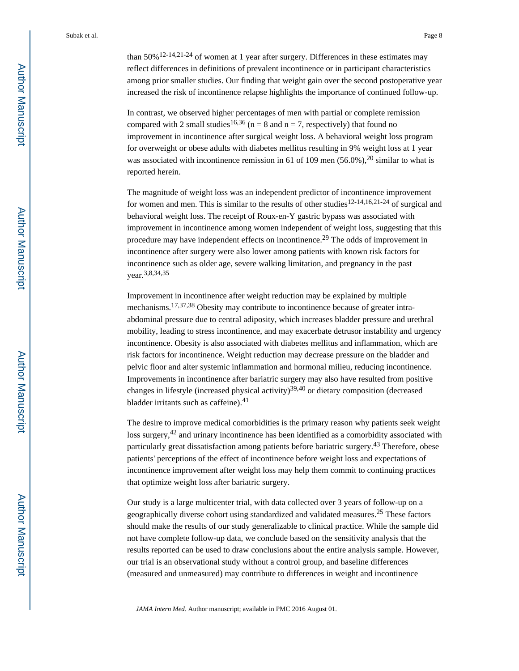than  $50\%$  <sup>12-14,21-24</sup> of women at 1 year after surgery. Differences in these estimates may reflect differences in definitions of prevalent incontinence or in participant characteristics among prior smaller studies. Our finding that weight gain over the second postoperative year increased the risk of incontinence relapse highlights the importance of continued follow-up.

In contrast, we observed higher percentages of men with partial or complete remission compared with 2 small studies<sup>16,36</sup> ( $n = 8$  and  $n = 7$ , respectively) that found no improvement in incontinence after surgical weight loss. A behavioral weight loss program for overweight or obese adults with diabetes mellitus resulting in 9% weight loss at 1 year was associated with incontinence remission in 61 of 109 men  $(56.0\%)$ ,<sup>20</sup> similar to what is reported herein.

The magnitude of weight loss was an independent predictor of incontinence improvement for women and men. This is similar to the results of other studies<sup>12-14,16,21-24</sup> of surgical and behavioral weight loss. The receipt of Roux-en-Y gastric bypass was associated with improvement in incontinence among women independent of weight loss, suggesting that this procedure may have independent effects on incontinence.29 The odds of improvement in incontinence after surgery were also lower among patients with known risk factors for incontinence such as older age, severe walking limitation, and pregnancy in the past year.3,8,34,35

Improvement in incontinence after weight reduction may be explained by multiple mechanisms.17,37,38 Obesity may contribute to incontinence because of greater intraabdominal pressure due to central adiposity, which increases bladder pressure and urethral mobility, leading to stress incontinence, and may exacerbate detrusor instability and urgency incontinence. Obesity is also associated with diabetes mellitus and inflammation, which are risk factors for incontinence. Weight reduction may decrease pressure on the bladder and pelvic floor and alter systemic inflammation and hormonal milieu, reducing incontinence. Improvements in incontinence after bariatric surgery may also have resulted from positive changes in lifestyle (increased physical activity)<sup>39,40</sup> or dietary composition (decreased bladder irritants such as caffeine). $41$ 

The desire to improve medical comorbidities is the primary reason why patients seek weight loss surgery,<sup>42</sup> and urinary incontinence has been identified as a comorbidity associated with particularly great dissatisfaction among patients before bariatric surgery.43 Therefore, obese patients' perceptions of the effect of incontinence before weight loss and expectations of incontinence improvement after weight loss may help them commit to continuing practices that optimize weight loss after bariatric surgery.

Our study is a large multicenter trial, with data collected over 3 years of follow-up on a geographically diverse cohort using standardized and validated measures.25 These factors should make the results of our study generalizable to clinical practice. While the sample did not have complete follow-up data, we conclude based on the sensitivity analysis that the results reported can be used to draw conclusions about the entire analysis sample. However, our trial is an observational study without a control group, and baseline differences (measured and unmeasured) may contribute to differences in weight and incontinence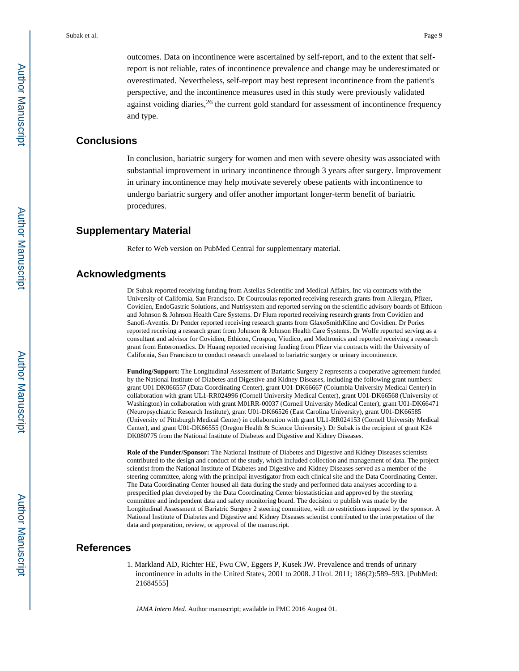outcomes. Data on incontinence were ascertained by self-report, and to the extent that selfreport is not reliable, rates of incontinence prevalence and change may be underestimated or overestimated. Nevertheless, self-report may best represent incontinence from the patient's perspective, and the incontinence measures used in this study were previously validated against voiding diaries,  $26$  the current gold standard for assessment of incontinence frequency and type.

## **Conclusions**

In conclusion, bariatric surgery for women and men with severe obesity was associated with substantial improvement in urinary incontinence through 3 years after surgery. Improvement in urinary incontinence may help motivate severely obese patients with incontinence to undergo bariatric surgery and offer another important longer-term benefit of bariatric procedures.

## **Supplementary Material**

Refer to Web version on PubMed Central for supplementary material.

## **Acknowledgments**

Dr Subak reported receiving funding from Astellas Scientific and Medical Affairs, Inc via contracts with the University of California, San Francisco. Dr Courcoulas reported receiving research grants from Allergan, Pfizer, Covidien, EndoGastric Solutions, and Nutrisystem and reported serving on the scientific advisory boards of Ethicon and Johnson & Johnson Health Care Systems. Dr Flum reported receiving research grants from Covidien and Sanofi-Aventis. Dr Pender reported receiving research grants from GlaxoSmithKline and Covidien. Dr Pories reported receiving a research grant from Johnson & Johnson Health Care Systems. Dr Wolfe reported serving as a consultant and advisor for Covidien, Ethicon, Crospon, Viudico, and Medtronics and reported receiving a research grant from Enteromedics. Dr Huang reported receiving funding from Pfizer via contracts with the University of California, San Francisco to conduct research unrelated to bariatric surgery or urinary incontinence.

**Funding/Support:** The Longitudinal Assessment of Bariatric Surgery 2 represents a cooperative agreement funded by the National Institute of Diabetes and Digestive and Kidney Diseases, including the following grant numbers: grant U01 DK066557 (Data Coordinating Center), grant U01-DK66667 (Columbia University Medical Center) in collaboration with grant UL1-RR024996 (Cornell University Medical Center), grant U01-DK66568 (University of Washington) in collaboration with grant M01RR-00037 (Cornell University Medical Center), grant U01-DK66471 (Neuropsychiatric Research Institute), grant U01-DK66526 (East Carolina University), grant U01-DK66585 (University of Pittsburgh Medical Center) in collaboration with grant UL1-RR024153 (Cornell University Medical Center), and grant U01-DK66555 (Oregon Health & Science University). Dr Subak is the recipient of grant K24 DK080775 from the National Institute of Diabetes and Digestive and Kidney Diseases.

**Role of the Funder/Sponsor:** The National Institute of Diabetes and Digestive and Kidney Diseases scientists contributed to the design and conduct of the study, which included collection and management of data. The project scientist from the National Institute of Diabetes and Digestive and Kidney Diseases served as a member of the steering committee, along with the principal investigator from each clinical site and the Data Coordinating Center. The Data Coordinating Center housed all data during the study and performed data analyses according to a prespecified plan developed by the Data Coordinating Center biostatistician and approved by the steering committee and independent data and safety monitoring board. The decision to publish was made by the Longitudinal Assessment of Bariatric Surgery 2 steering committee, with no restrictions imposed by the sponsor. A National Institute of Diabetes and Digestive and Kidney Diseases scientist contributed to the interpretation of the data and preparation, review, or approval of the manuscript.

## **References**

1. Markland AD, Richter HE, Fwu CW, Eggers P, Kusek JW. Prevalence and trends of urinary incontinence in adults in the United States, 2001 to 2008. J Urol. 2011; 186(2):589–593. [PubMed: 21684555]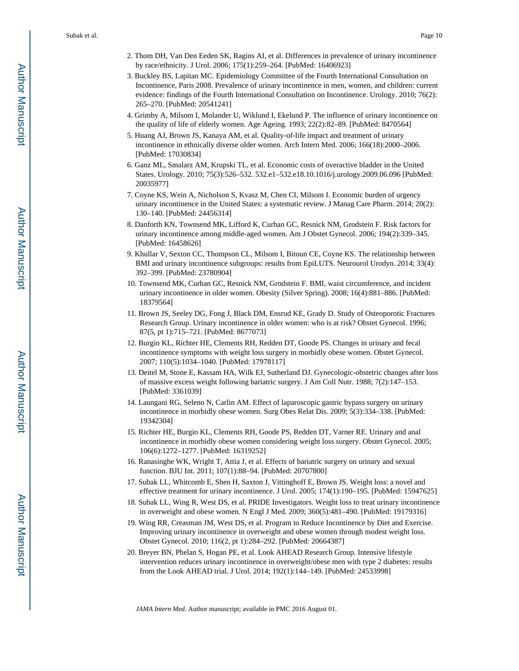- 2. Thom DH, Van Den Eeden SK, Ragins AI, et al. Differences in prevalence of urinary incontinence by race/ethnicity. J Urol. 2006; 175(1):259–264. [PubMed: 16406923]
- 3. Buckley BS, Lapitan MC. Epidemiology Committee of the Fourth International Consultation on Incontinence, Paris 2008. Prevalence of urinary incontinence in men, women, and children: current evidence: findings of the Fourth International Consultation on Incontinence. Urology. 2010; 76(2): 265–270. [PubMed: 20541241]
- 4. Grimby A, Milsom I, Molander U, Wiklund I, Ekelund P. The influence of urinary incontinence on the quality of life of elderly women. Age Ageing. 1993; 22(2):82–89. [PubMed: 8470564]
- 5. Huang AJ, Brown JS, Kanaya AM, et al. Quality-of-life impact and treatment of urinary incontinence in ethnically diverse older women. Arch Intern Med. 2006; 166(18):2000–2006. [PubMed: 17030834]
- 6. Ganz ML, Smalarz AM, Krupski TL, et al. Economic costs of overactive bladder in the United States. Urology. 2010; 75(3):526–532. 532.e1–532.e18.10.1016/j.urology.2009.06.096 [PubMed: 20035977]
- 7. Coyne KS, Wein A, Nicholson S, Kvasz M, Chen CI, Milsom I. Economic burden of urgency urinary incontinence in the United States: a systematic review. J Manag Care Pharm. 2014; 20(2): 130–140. [PubMed: 24456314]
- 8. Danforth KN, Townsend MK, Lifford K, Curhan GC, Resnick NM, Grodstein F. Risk factors for urinary incontinence among middle-aged women. Am J Obstet Gynecol. 2006; 194(2):339–345. [PubMed: 16458626]
- 9. Khullar V, Sexton CC, Thompson CL, Milsom I, Bitoun CE, Coyne KS. The relationship between BMI and urinary incontinence subgroups: results from EpiLUTS. Neurourol Urodyn. 2014; 33(4): 392–399. [PubMed: 23780904]
- 10. Townsend MK, Curhan GC, Resnick NM, Grodstein F. BMI, waist circumference, and incident urinary incontinence in older women. Obesity (Silver Spring). 2008; 16(4):881–886. [PubMed: 18379564]
- 11. Brown JS, Seeley DG, Fong J, Black DM, Ensrud KE, Grady D. Study of Osteoporotic Fractures Research Group. Urinary incontinence in older women: who is at risk? Obstet Gynecol. 1996; 87(5, pt 1):715–721. [PubMed: 8677073]
- 12. Burgio KL, Richter HE, Clements RH, Redden DT, Goode PS. Changes in urinary and fecal incontinence symptoms with weight loss surgery in morbidly obese women. Obstet Gynecol. 2007; 110(5):1034–1040. [PubMed: 17978117]
- 13. Deitel M, Stone E, Kassam HA, Wilk EJ, Sutherland DJ. Gynecologic-obstetric changes after loss of massive excess weight following bariatric surgery. J Am Coll Nutr. 1988; 7(2):147–153. [PubMed: 3361039]
- 14. Laungani RG, Seleno N, Carlin AM. Effect of laparoscopic gastric bypass surgery on urinary incontinence in morbidly obese women. Surg Obes Relat Dis. 2009; 5(3):334–338. [PubMed: 19342304]
- 15. Richter HE, Burgio KL, Clements RH, Goode PS, Redden DT, Varner RE. Urinary and anal incontinence in morbidly obese women considering weight loss surgery. Obstet Gynecol. 2005; 106(6):1272–1277. [PubMed: 16319252]
- 16. Ranasinghe WK, Wright T, Attia J, et al. Effects of bariatric surgery on urinary and sexual function. BJU Int. 2011; 107(1):88–94. [PubMed: 20707800]
- 17. Subak LL, Whitcomb E, Shen H, Saxton J, Vittinghoff E, Brown JS. Weight loss: a novel and effective treatment for urinary incontinence. J Urol. 2005; 174(1):190–195. [PubMed: 15947625]
- 18. Subak LL, Wing R, West DS, et al. PRIDE Investigators. Weight loss to treat urinary incontinence in overweight and obese women. N Engl J Med. 2009; 360(5):481–490. [PubMed: 19179316]
- 19. Wing RR, Creasman JM, West DS, et al. Program to Reduce Incontinence by Diet and Exercise. Improving urinary incontinence in overweight and obese women through modest weight loss. Obstet Gynecol. 2010; 116(2, pt 1):284–292. [PubMed: 20664387]
- 20. Breyer BN, Phelan S, Hogan PE, et al. Look AHEAD Research Group. Intensive lifestyle intervention reduces urinary incontinence in overweight/obese men with type 2 diabetes: results from the Look AHEAD trial. J Urol. 2014; 192(1):144–149. [PubMed: 24533998]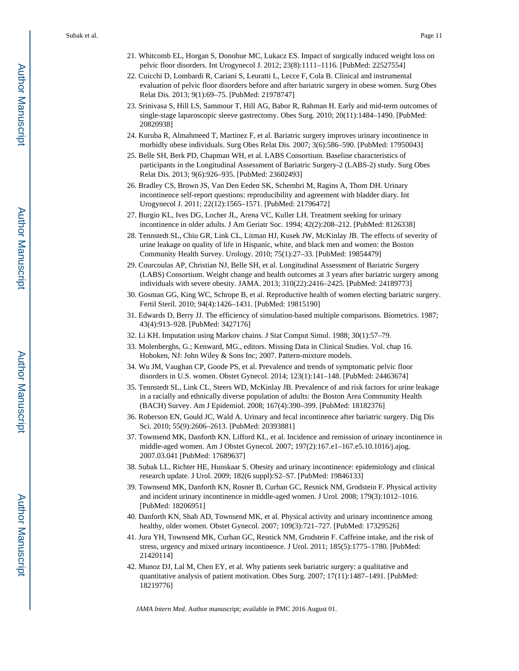- 21. Whitcomb EL, Horgan S, Donohue MC, Lukacz ES. Impact of surgically induced weight loss on pelvic floor disorders. Int Urogynecol J. 2012; 23(8):1111–1116. [PubMed: 22527554]
- 22. Cuicchi D, Lombardi R, Cariani S, Leuratti L, Lecce F, Cola B. Clinical and instrumental evaluation of pelvic floor disorders before and after bariatric surgery in obese women. Surg Obes Relat Dis. 2013; 9(1):69–75. [PubMed: 21978747]
- 23. Srinivasa S, Hill LS, Sammour T, Hill AG, Babor R, Rahman H. Early and mid-term outcomes of single-stage laparoscopic sleeve gastrectomy. Obes Surg. 2010; 20(11):1484–1490. [PubMed: 20820938]
- 24. Kuruba R, Almahmeed T, Martinez F, et al. Bariatric surgery improves urinary incontinence in morbidly obese individuals. Surg Obes Relat Dis. 2007; 3(6):586–590. [PubMed: 17950043]
- 25. Belle SH, Berk PD, Chapman WH, et al. LABS Consortium. Baseline characteristics of participants in the Longitudinal Assessment of Bariatric Surgery-2 (LABS-2) study. Surg Obes Relat Dis. 2013; 9(6):926–935. [PubMed: 23602493]
- 26. Bradley CS, Brown JS, Van Den Eeden SK, Schembri M, Ragins A, Thom DH. Urinary incontinence self-report questions: reproducibility and agreement with bladder diary. Int Urogynecol J. 2011; 22(12):1565–1571. [PubMed: 21796472]
- 27. Burgio KL, Ives DG, Locher JL, Arena VC, Kuller LH. Treatment seeking for urinary incontinence in older adults. J Am Geriatr Soc. 1994; 42(2):208–212. [PubMed: 8126338]
- 28. Tennstedt SL, Chiu GR, Link CL, Litman HJ, Kusek JW, McKinlay JB. The effects of severity of urine leakage on quality of life in Hispanic, white, and black men and women: the Boston Community Health Survey. Urology. 2010; 75(1):27–33. [PubMed: 19854479]
- 29. Courcoulas AP, Christian NJ, Belle SH, et al. Longitudinal Assessment of Bariatric Surgery (LABS) Consortium. Weight change and health outcomes at 3 years after bariatric surgery among individuals with severe obesity. JAMA. 2013; 310(22):2416–2425. [PubMed: 24189773]
- 30. Gosman GG, King WC, Schrope B, et al. Reproductive health of women electing bariatric surgery. Fertil Steril. 2010; 94(4):1426–1431. [PubMed: 19815190]
- 31. Edwards D, Berry JJ. The efficiency of simulation-based multiple comparisons. Biometrics. 1987; 43(4):913–928. [PubMed: 3427176]
- 32. Li KH. Imputation using Markov chains. J Stat Comput Simul. 1988; 30(1):57–79.
- 33. Molenberghs, G.; Kenward, MG., editors. Missing Data in Clinical Studies. Vol. chap 16. Hoboken, NJ: John Wiley & Sons Inc; 2007. Pattern-mixture models.
- 34. Wu JM, Vaughan CP, Goode PS, et al. Prevalence and trends of symptomatic pelvic floor disorders in U.S. women. Obstet Gynecol. 2014; 123(1):141–148. [PubMed: 24463674]
- 35. Tennstedt SL, Link CL, Steers WD, McKinlay JB. Prevalence of and risk factors for urine leakage in a racially and ethnically diverse population of adults: the Boston Area Community Health (BACH) Survey. Am J Epidemiol. 2008; 167(4):390–399. [PubMed: 18182376]
- 36. Roberson EN, Gould JC, Wald A. Urinary and fecal incontinence after bariatric surgery. Dig Dis Sci. 2010; 55(9):2606–2613. [PubMed: 20393881]
- 37. Townsend MK, Danforth KN, Lifford KL, et al. Incidence and remission of urinary incontinence in middle-aged women. Am J Obstet Gynecol. 2007; 197(2):167.e1–167.e5.10.1016/j.ajog. 2007.03.041 [PubMed: 17689637]
- 38. Subak LL, Richter HE, Hunskaar S. Obesity and urinary incontinence: epidemiology and clinical research update. J Urol. 2009; 182(6 suppl):S2–S7. [PubMed: 19846133]
- 39. Townsend MK, Danforth KN, Rosner B, Curhan GC, Resnick NM, Grodstein F. Physical activity and incident urinary incontinence in middle-aged women. J Urol. 2008; 179(3):1012–1016. [PubMed: 18206951]
- 40. Danforth KN, Shah AD, Townsend MK, et al. Physical activity and urinary incontinence among healthy, older women. Obstet Gynecol. 2007; 109(3):721–727. [PubMed: 17329526]
- 41. Jura YH, Townsend MK, Curhan GC, Resnick NM, Grodstein F. Caffeine intake, and the risk of stress, urgency and mixed urinary incontinence. J Urol. 2011; 185(5):1775–1780. [PubMed: 21420114]
- 42. Munoz DJ, Lal M, Chen EY, et al. Why patients seek bariatric surgery: a qualitative and quantitative analysis of patient motivation. Obes Surg. 2007; 17(11):1487–1491. [PubMed: 18219776]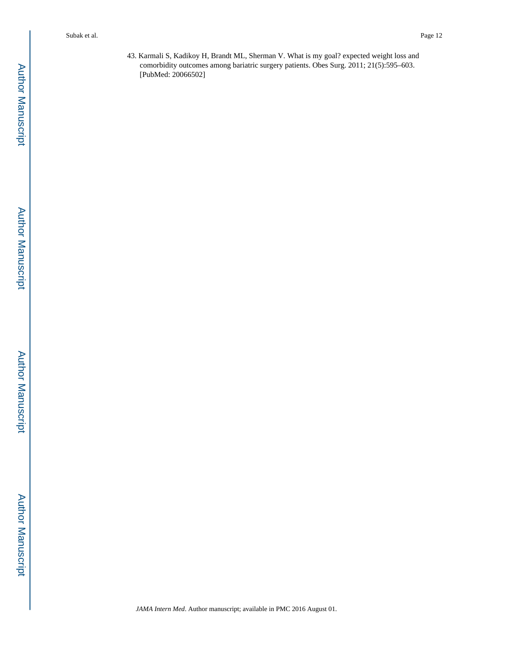43. Karmali S, Kadikoy H, Brandt ML, Sherman V. What is my goal? expected weight loss and comorbidity outcomes among bariatric surgery patients. Obes Surg. 2011; 21(5):595–603. [PubMed: 20066502]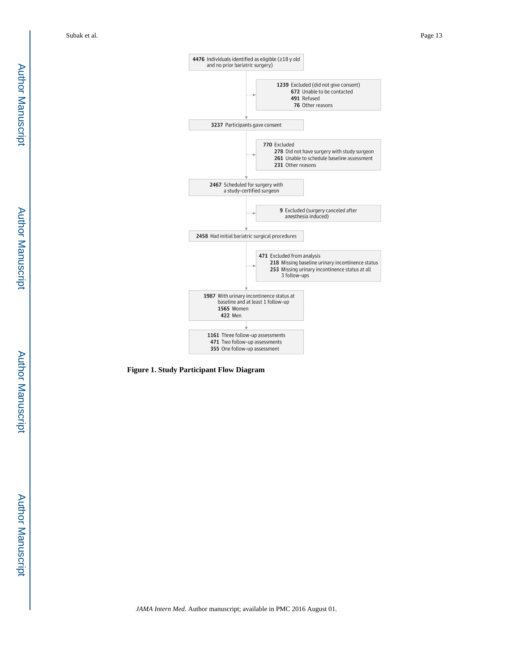**Author Manuscript** Author Manuscript



**Figure 1. Study Participant Flow Diagram**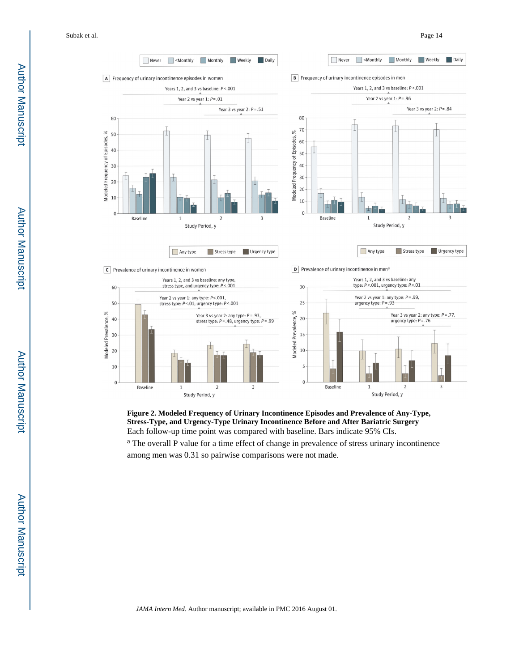Subak et al. Page 14



**Figure 2. Modeled Frequency of Urinary Incontinence Episodes and Prevalence of Any-Type, Stress-Type, and Urgency-Type Urinary Incontinence Before and After Bariatric Surgery** Each follow-up time point was compared with baseline. Bars indicate 95% CIs.

<sup>a</sup> The overall P value for a time effect of change in prevalence of stress urinary incontinence among men was 0.31 so pairwise comparisons were not made.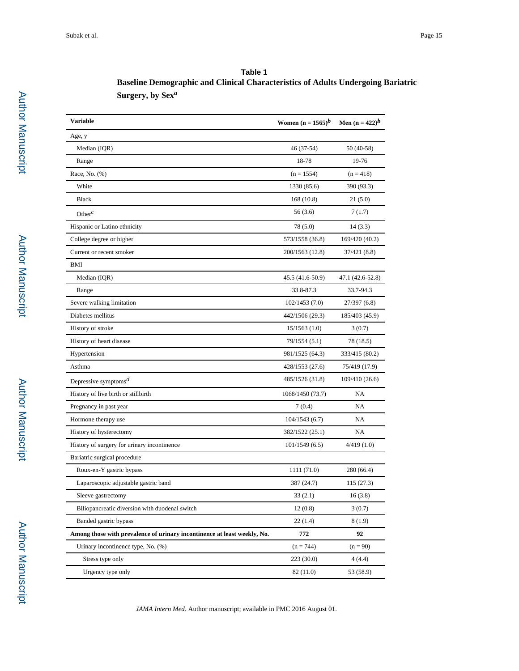| Table 1                                                                                 |
|-----------------------------------------------------------------------------------------|
| <b>Baseline Demographic and Clinical Characteristics of Adults Undergoing Bariatric</b> |
| Surgery, by $Sex^a$                                                                     |

| <b>Variable</b>                                                          | <b>Women</b> $(n = 1565)^{b}$ | Men $(n = 422)^{b}$ |
|--------------------------------------------------------------------------|-------------------------------|---------------------|
| Age, y                                                                   |                               |                     |
| Median (IQR)                                                             | 46 (37-54)                    | 50 (40-58)          |
| Range                                                                    | 18-78                         | 19-76               |
| Race, No. (%)                                                            | $(n = 1554)$                  | $(n = 418)$         |
| White                                                                    | 1330 (85.6)                   | 390 (93.3)          |
| <b>Black</b>                                                             | 168(10.8)                     | 21(5.0)             |
| Other $c$                                                                | 56(3.6)                       | 7(1.7)              |
| Hispanic or Latino ethnicity                                             | 78 (5.0)                      | 14(3.3)             |
| College degree or higher                                                 | 573/1558 (36.8)               | 169/420 (40.2)      |
| Current or recent smoker                                                 | 200/1563 (12.8)               | 37/421 (8.8)        |
| BMI                                                                      |                               |                     |
| Median (IQR)                                                             | 45.5 (41.6-50.9)              | 47.1 (42.6-52.8)    |
| Range                                                                    | 33.8-87.3                     | 33.7-94.3           |
| Severe walking limitation                                                | 102/1453 (7.0)                | 27/397 (6.8)        |
| Diabetes mellitus                                                        | 442/1506 (29.3)               | 185/403 (45.9)      |
| History of stroke                                                        | 15/1563(1.0)                  | 3(0.7)              |
| History of heart disease                                                 | 79/1554 (5.1)                 | 78 (18.5)           |
| Hypertension                                                             | 981/1525 (64.3)               | 333/415 (80.2)      |
| Asthma                                                                   | 428/1553 (27.6)               | 75/419 (17.9)       |
| Depressive symptoms $d$                                                  | 485/1526 (31.8)               | 109/410 (26.6)      |
| History of live birth or stillbirth                                      | 1068/1450 (73.7)              | NA                  |
| Pregnancy in past year                                                   | 7(0.4)                        | NA                  |
| Hormone therapy use                                                      | 104/1543 (6.7)                | NA                  |
| History of hysterectomy                                                  | 382/1522 (25.1)               | NA                  |
| History of surgery for urinary incontinence                              | 101/1549(6.5)                 | 4/419(1.0)          |
| Bariatric surgical procedure                                             |                               |                     |
| Roux-en-Y gastric bypass                                                 | 1111 (71.0)                   | 280 (66.4)          |
| Laparoscopic adjustable gastric band                                     | 387 (24.7)                    | 115 (27.3)          |
| Sleeve gastrectomy                                                       | 33(2.1)                       | 16(3.8)             |
| Biliopancreatic diversion with duodenal switch                           | 12(0.8)                       | 3(0.7)              |
| Banded gastric bypass                                                    | 22 (1.4)                      | 8(1.9)              |
| Among those with prevalence of urinary incontinence at least weekly, No. | 772                           | 92                  |
| Urinary incontinence type, No. (%)                                       | $(n = 744)$                   | $(n = 90)$          |
| Stress type only                                                         | 223 (30.0)                    | 4 (4.4)             |
| Urgency type only                                                        | 82 (11.0)                     | 53 (58.9)           |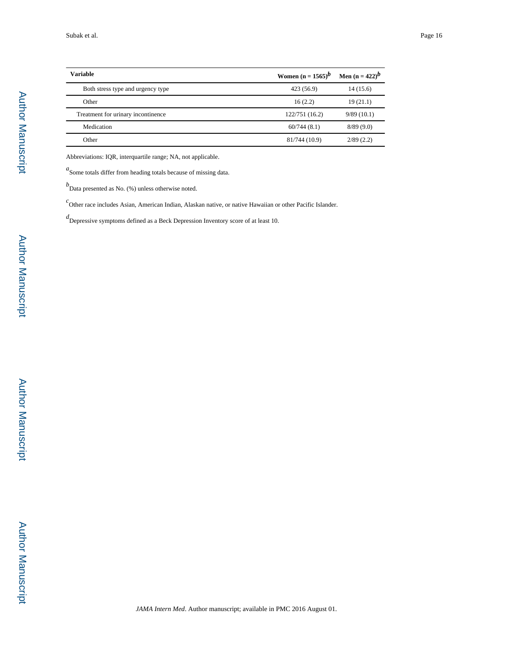$\overline{\phantom{a}}$ 

| Variable                           | <b>Women</b> $(n = 1565)^{b}$ | Men (n = $422$ ) <sup>b</sup> |
|------------------------------------|-------------------------------|-------------------------------|
| Both stress type and urgency type  | 423 (56.9)                    | 14 (15.6)                     |
| Other                              | 16(2.2)                       | 19(21.1)                      |
| Treatment for urinary incontinence | 122/751 (16.2)                | 9/89(10.1)                    |
| Medication                         | 60/744(8.1)                   | 8/89(9.0)                     |
| Other                              | 81/744 (10.9)                 | 2/89(2.2)                     |

Abbreviations: IQR, interquartile range; NA, not applicable.

*a* Some totals differ from heading totals because of missing data.

*b* Data presented as No. (%) unless otherwise noted.

*c* Other race includes Asian, American Indian, Alaskan native, or native Hawaiian or other Pacific Islander.

*d* Depressive symptoms defined as a Beck Depression Inventory score of at least 10.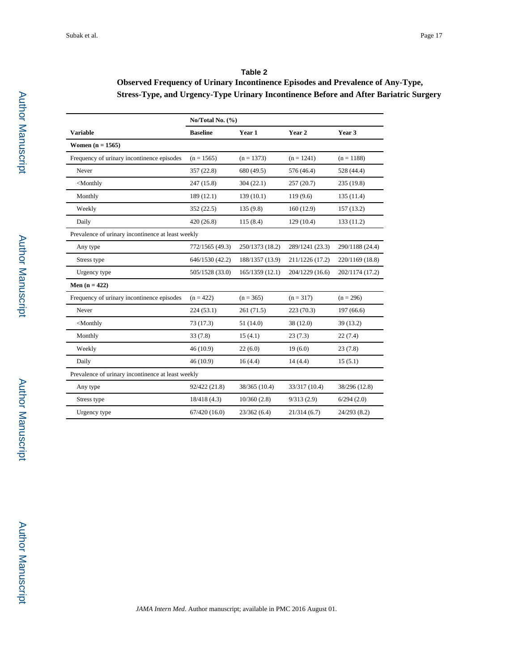## **Table 2**

## **Observed Frequency of Urinary Incontinence Episodes and Prevalence of Any-Type, Stress-Type, and Urgency-Type Urinary Incontinence Before and After Bariatric Surgery**

|                                                                                                      | No/Total No. $(\% )$ |                 |                 |                 |
|------------------------------------------------------------------------------------------------------|----------------------|-----------------|-----------------|-----------------|
| <b>Variable</b>                                                                                      | <b>Baseline</b>      | Year 1          | Year 2          | Year 3          |
| Women $(n = 1565)$                                                                                   |                      |                 |                 |                 |
| Frequency of urinary incontinence episodes                                                           | $(n = 1565)$         | $(n = 1373)$    | $(n = 1241)$    | $(n = 1188)$    |
| Never                                                                                                | 357 (22.8)           | 680 (49.5)      | 576 (46.4)      | 528 (44.4)      |
| <monthly< td=""><td>247 (15.8)</td><td>304(22.1)</td><td>257(20.7)</td><td>235(19.8)</td></monthly<> | 247 (15.8)           | 304(22.1)       | 257(20.7)       | 235(19.8)       |
| Monthly                                                                                              | 189 (12.1)           | 139(10.1)       | 119(9.6)        | 135(11.4)       |
| Weekly                                                                                               | 352 (22.5)           | 135(9.8)        | 160(12.9)       | 157(13.2)       |
| Daily                                                                                                | 420(26.8)            | 115(8.4)        | 129(10.4)       | 133 (11.2)      |
| Prevalence of urinary incontinence at least weekly                                                   |                      |                 |                 |                 |
| Any type                                                                                             | 772/1565 (49.3)      | 250/1373 (18.2) | 289/1241 (23.3) | 290/1188 (24.4) |
| Stress type                                                                                          | 646/1530 (42.2)      | 188/1357 (13.9) | 211/1226 (17.2) | 220/1169 (18.8) |
| Urgency type                                                                                         | 505/1528 (33.0)      | 165/1359 (12.1) | 204/1229 (16.6) | 202/1174 (17.2) |
| Men $(n = 422)$                                                                                      |                      |                 |                 |                 |
| Frequency of urinary incontinence episodes                                                           | $(n = 422)$          | $(n = 365)$     | $(n = 317)$     | $(n = 296)$     |
| Never                                                                                                | 224(53.1)            | 261 (71.5)      | 223(70.3)       | 197(66.6)       |
| <monthly< td=""><td>73 (17.3)</td><td>51(14.0)</td><td>38 (12.0)</td><td>39 (13.2)</td></monthly<>   | 73 (17.3)            | 51(14.0)        | 38 (12.0)       | 39 (13.2)       |
| Monthly                                                                                              | 33(7.8)              | 15(4.1)         | 23(7.3)         | 22(7.4)         |
| Weekly                                                                                               | 46(10.9)             | 22(6.0)         | 19(6.0)         | 23(7.8)         |
| Daily                                                                                                | 46(10.9)             | 16(4.4)         | 14(4.4)         | 15(5.1)         |
| Prevalence of urinary incontinence at least weekly                                                   |                      |                 |                 |                 |
| Any type                                                                                             | 92/422 (21.8)        | 38/365 (10.4)   | 33/317 (10.4)   | 38/296 (12.8)   |
| Stress type                                                                                          | 18/418(4.3)          | 10/360(2.8)     | 9/313(2.9)      | 6/294(2.0)      |
| Urgency type                                                                                         | 67/420(16.0)         | 23/362(6.4)     | 21/314(6.7)     | 24/293 (8.2)    |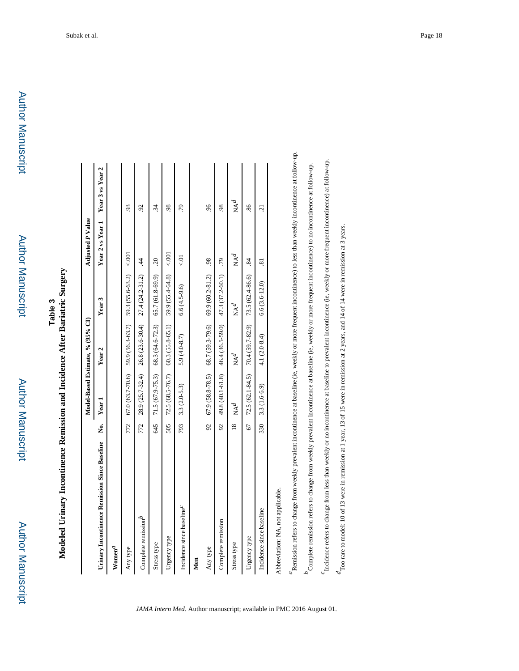Author Manuscript

Author Manuscript

| l<br>ı<br>ļ<br>1<br>I                |
|--------------------------------------|
| i<br>l                               |
| i<br>I<br>I                          |
| :<br>I<br>֚֚                         |
| $\overline{a}$<br>ו<br>ו<br>$\vdots$ |

|                                                   |                |                                                          | Model-Based Estimate, % (95% CI)                        |                  | Adjusted P Value                  |                |
|---------------------------------------------------|----------------|----------------------------------------------------------|---------------------------------------------------------|------------------|-----------------------------------|----------------|
| Urinary Incontinence Remission Since Baseline No. |                | Year 1                                                   | Year <sub>2</sub>                                       | Year3            | Year 2 vs Year 1 Year 3 vs Year 2 |                |
| $\mathbf{W}\mathbf{omen}^d$                       |                |                                                          |                                                         |                  |                                   |                |
| Any type                                          |                | $772$ 67.0 (63.7-70.6) 59.9 (56.3-63.7) 59.3 (55.6-63.2) |                                                         |                  | $\leq 001$                        | 93             |
| Complete remission <sup><i>b</i></sup>            | 772            |                                                          | $28.9(25.7-32.4)$ $26.8(23.6-30.4)$ $27.4(24.2-31.2)$   |                  | 4                                 | 92             |
| Stress type                                       | 645            |                                                          | $71.5(67.9-75.3)$ 68.3 $(64.6-72.3)$ 65.7 $(61.8-69.9)$ |                  | $\overline{c}$                    | $\ddot{34}$    |
| Urgency type                                      | 505            |                                                          | $72.5(68.5-76.7)$ $60.3(55.8-65.1)$ $59.9(55.4-64.8)$   |                  | 001                               | 98             |
| Incidence since baseline <sup>c</sup>             | 793            | $3.3(2.0-5.3)$                                           | $5.9(4.0-8.7)$                                          | $6.6(4.5-9.6)$   | $\frac{1}{2}$                     | 79             |
| Men                                               |                |                                                          |                                                         |                  |                                   |                |
| Any type                                          | 92             | $67.9(58.8-78.5)$                                        | 68.7 (59.3-79.6)                                        | 69.9 (60.2-81.2) | 98                                | 96             |
| Complete remission                                | 92             | 49.8 (40.1-61.8)                                         | 46.4 (36.5-59.0)                                        | 47.3 (37.2-60.1) | .79                               | 98             |
| Stress type                                       | $\frac{8}{18}$ | $NA^d$                                                   | $NA^d$                                                  | $NA^d$           | $NA^d$                            | $NA^d$         |
| Urgency type                                      | 67             | $72.5(62.1-84.5)$                                        | 70.4 (59.7-82.9)                                        | 73.5 (62.4-86.6) | 84                                | 86             |
| Incidence since baseline                          | 330            | $3.3(1.6-6.9)$                                           | 4.1 (2.0-8.4)                                           | $6.6(3.6-12.0)$  | $\overline{8}$                    | $\overline{c}$ |
| Abbreviation: NA, not applicable.                 |                |                                                          |                                                         |                  |                                   |                |

Remission refers to change from weekly prevalent incontinence at baseline (ie, weekly or more frequent incontinence) to less than weekly incontinence at follow-up. *a*Remission refers to change from weekly prevalent incontinence at baseline (ie, weekly or more frequent incontinence) to less than weekly incontinence at follow-up. 'Incidence refers to change from less than weekly or no incontinence at baseline to prevalent incontinence (ie, weekly or more frequent incontinence) at follow-up. *c*Incidence refers to change from less than weekly or no incontinence at baseline to prevalent incontinence (ie, weekly or more frequent incontinence) at follow-up.  $b$  complete remission refers to change from weekly prevalent incontinence at baseline (ie, weekly or more frequent incontinence) to no incontinence at follow-up. *b*Complete remission refers to change from weekly prevalent incontinence at baseline (ie, weekly or more frequent incontinence) to no incontinence at follow-up.  $d_{\text{TOO rate to model: 10 of 13 were in remission at 1 year, 13 of 15 were in remission at 2 years, and 14 of 14 were in remission at 3 years.}$  $d_{\text{Too rare to model: 10 of 13 were in remission at 1 year, 13 of 15 were in remission at 2 years, and 14 of 14 were in remission at 3 years.}$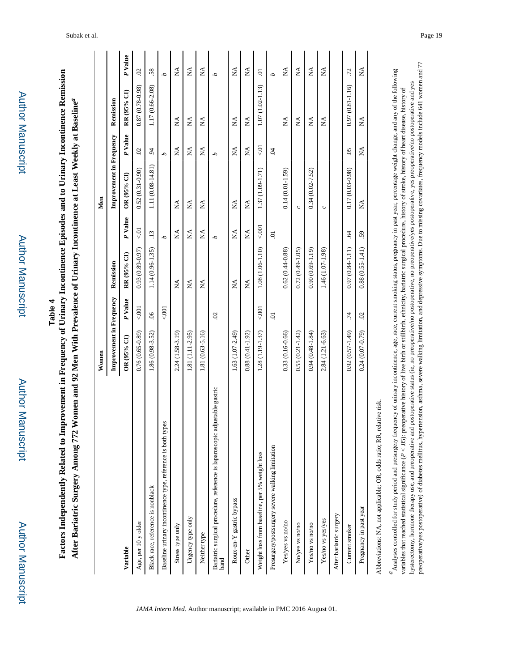| j |
|---|
|   |
|   |
|   |
| ï |
|   |
|   |
| ֕ |
|   |
|   |
|   |
|   |
|   |
|   |
|   |
|   |
|   |
|   |
|   |
| ï |
|   |
|   |

Author Manuscript

**Author Manuscript** 

Table 4<br>Factors Independently Related to Improvement in Frequency of Urinary Incontinence Episodes and to Urinary Incontinence Remission **Factors Independently Related to Improvement in Frequency of Urinary Incontinence Episodes and to Urinary Incontinence Remission After Bariatric Surgery Among 772 Women and 92 Men With Prevalence of Urinary Incontinence at Least Weekly at Baseline** After Bariatric Surgery Among 772 Women and 92 Men With Prevalence of Urinary Incontinence at Least Weekly at Baseline<sup>a</sup>

|                                                                                       | Women                    |                |                           |                             | Men                         |                                 |                             |                                |
|---------------------------------------------------------------------------------------|--------------------------|----------------|---------------------------|-----------------------------|-----------------------------|---------------------------------|-----------------------------|--------------------------------|
|                                                                                       | Improvement in Frequency |                | Remission                 |                             | Improvement in Frequency    |                                 | Remission                   |                                |
| Variable                                                                              | OR (95% CI)              | P Value        | RR (95% CI)               | P Value                     | OR (95% CI)                 | P Value                         | RR (95% CI)                 | P Value                        |
| Age, per 10 y older                                                                   | $0.76(0.65-0.89)$        | 001            | 0.93 (0.89-0.97)          | $\overline{0}$              | $0.52(0.31 - 0.90)$         | $\overline{0}$                  | 0.87 (0.78-0.98)            | $\overline{0}$                 |
| Black race, reference is nonblack                                                     | 1.86 (0.98-3.52)         | 06             | 1.14 (0.96-1.35)          | $\overline{.13}$            | 1.11 (0.08-14.81)           | $\ddot{9}$                      | 1.17 (0.66-2.08)            | 58.                            |
| types<br>Baseline urinary incontinence type, reference is both t                      |                          | 001            |                           | d                           |                             | 4                               |                             | 4                              |
| Stress type only                                                                      | 2.24 (1.58-3.19)         |                | $\mathbb{X}^{\mathsf{A}}$ | $\boldsymbol{\hat{\Sigma}}$ | $\boldsymbol{\hat{\Sigma}}$ | $\sum_{i=1}^{n}$                | $\boldsymbol{\hat{\Sigma}}$ | $\mathbb{X}^{\mathsf{A}}$      |
| Urgency type only                                                                     | 1.81 (1.11-2.95)         |                | Ź                         | ≸                           | ≸                           | $\boldsymbol{\hat{\ge}}$        | ¥                           | $\stackrel{\triangle}{\simeq}$ |
| Neither type                                                                          | 1.81 (0.63-5.16)         |                | Ź                         | $\lessapprox$               | ≵                           | $\boldsymbol{\hat{\mathsf{z}}}$ | $\mathbb{E}$                | $\stackrel{\triangle}{\simeq}$ |
| adjustable gastric<br>Bariatric surgical procedure, reference is laparoscopic<br>band |                          | $\mathcal{L}$  |                           | 4                           |                             | 4                               |                             | 4                              |
| Roux-en-Y gastric bypass                                                              | $1.63(1.07-2.49)$        |                | ₹<br>N                    | $\mathbb{E}$                | ≸                           | $\mathbb{E}$                    | $\mathbb{E}$                | $\mathbb{X}^{\mathsf{A}}$      |
| Other                                                                                 | $0.88(0.41-1.92)$        |                | $\mathop{\rm S}\nolimits$ | $\mathbb{E}$                | $\mathbb{E}$                | $\mathbb{E}$                    | $\mathbb{E}$                | $\mathop{\mathsf{X}}\nolimits$ |
| Weight loss from baseline, per 5% weight loss                                         | 1.28 (1.19-1.37)         | 5001           | 1.08 (1.06-1.10)          | 5001                        | 1.37 (1.09-1.71)            | $\overline{5}$                  | 1.07 (1.02-1.13)            | ā                              |
| Presurgery/postsurgery severe walking limitation                                      |                          | $\overline{a}$ |                           | $\overline{a}$              |                             | S.                              |                             | 4                              |
| Yes/yes vs no/no                                                                      | $0.33(0.16-0.66)$        |                | $0.62(0.44 - 0.88)$       |                             | $0.14(0.01 - 1.59)$         |                                 | É                           | $\mathop{\rm S}\nolimits$      |
| No/yes vs no/no                                                                       | $0.55(0.21 - 1.42)$      |                | $0.72(0.49 - 1.05)$       |                             | Ċ                           |                                 | $\mathbb{E}$                | $\mathop{\mathsf{X}}\nolimits$ |
| Yes/no vs no/no                                                                       | $0.94(0.48-1.84)$        |                | $0.90(0.69 - 1.19)$       |                             | $0.34(0.02 - 7.52)$         |                                 | $\mathbb{E}$                | $\mathbb{A}^{\mathbf{A}}$      |
| Yes/no vs yes/yes                                                                     | 2.84 (1.21-6.63)         |                | 1.46 (1.07-1.98)          |                             | $\circ$                     |                                 | Ź                           | ÁN                             |
| After bariatric surgery                                                               |                          |                |                           |                             |                             |                                 |                             |                                |
| Current smoker                                                                        | $0.92(0.57 - 1.49)$      | .74            | $0.97(0.84 - 1.11)$       | $\dot{q}$                   | $0.17(0.03 - 0.98)$         | $\overline{0}$                  | $0.97(0.81 - 1.16)$         | .72                            |
| Pregnancy in past year                                                                | $0.24(0.07-0.79)$        | $\overline{c}$ | $0.88(0.55 - 1.41)$       | 59                          | ≸                           | ≸                               | Ź                           | ÁN                             |
| salativa sidr<br>Abbeniining MA pot applicable: OD adds entire DD                     |                          |                |                           |                             |                             |                                 |                             |                                |

Abbreviations: NA, not applicable; OR, odds ratio; RR, relative risk. ratio; KK, relative risk Abbreviations: INA, not applicable; UK,

preoperative/yes postoperative) of diabetes mellitus, hypertension, asthma, severe walking limitation, and depressive symptoms. Due to missing covariates, frequency models include 641 women and 77 preoperative/yes postoperative) of diabetes mellitus, hypertension, asthma, severe walking limitation, and depressive symptoms. Due to missing covariates, frequency models include 641 women and 77  $a$  Analyses controlled for study period and presurgery frequency of urinary incontinence, age, race, current smoking status, pregnancy in past year, percentage weight change, and any of the following *a*Analyses controlled for study period and presurgery frequency of urinary incontinence, age, race, current smoking status, pregnancy in past year, percentage weight change, and any of the following hysterectomy, hormone therapy use, and preoperative and postoperative status (ie, no preoperative), no preoperative/yes postoperative, yes preoperative/no postoperative and yes hysterectomy, hormone therapy use, and preoperative and postoperative status (ie, no preoperative/no postoperative, no preoperative/yes postoperative, yes preoperative/no postoperative and yes variables that reached statistical significance  $(P < .05)$ ; preoperative history of live birth or stillbirth, ethnicity, bariatric surgical procedure, history of stroke, history of heart disease, history of *P* < .05): preoperative history of live birth or stillbirth, ethnicity, bariatric surgical procedure, history of stroke, history of heart disease, history of variables that reached statistical significance (

Subak et al. Page 19